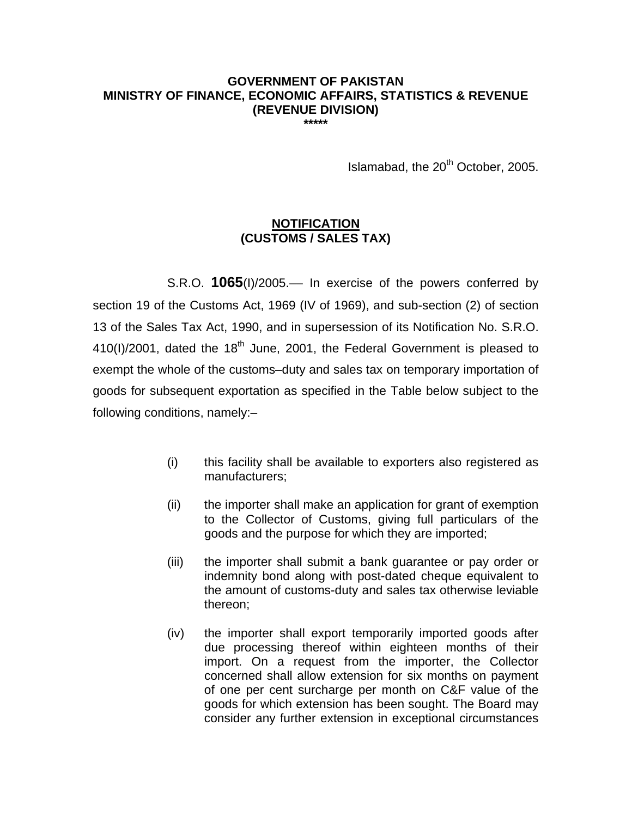## **GOVERNMENT OF PAKISTAN MINISTRY OF FINANCE, ECONOMIC AFFAIRS, STATISTICS & REVENUE (REVENUE DIVISION)**

**\*\*\*\*\*** 

Islamabad, the 20<sup>th</sup> October, 2005.

## **NOTIFICATION (CUSTOMS / SALES TAX)**

 S.R.O. **1065**(I)/2005.–– In exercise of the powers conferred by section 19 of the Customs Act, 1969 (IV of 1969), and sub-section (2) of section 13 of the Sales Tax Act, 1990, and in supersession of its Notification No. S.R.O.  $410(1)/2001$ , dated the  $18<sup>th</sup>$  June, 2001, the Federal Government is pleased to exempt the whole of the customs–duty and sales tax on temporary importation of goods for subsequent exportation as specified in the Table below subject to the following conditions, namely:–

- (i) this facility shall be available to exporters also registered as manufacturers;
- (ii) the importer shall make an application for grant of exemption to the Collector of Customs, giving full particulars of the goods and the purpose for which they are imported;
- (iii) the importer shall submit a bank guarantee or pay order or indemnity bond along with post-dated cheque equivalent to the amount of customs-duty and sales tax otherwise leviable thereon;
- (iv) the importer shall export temporarily imported goods after due processing thereof within eighteen months of their import. On a request from the importer, the Collector concerned shall allow extension for six months on payment of one per cent surcharge per month on C&F value of the goods for which extension has been sought. The Board may consider any further extension in exceptional circumstances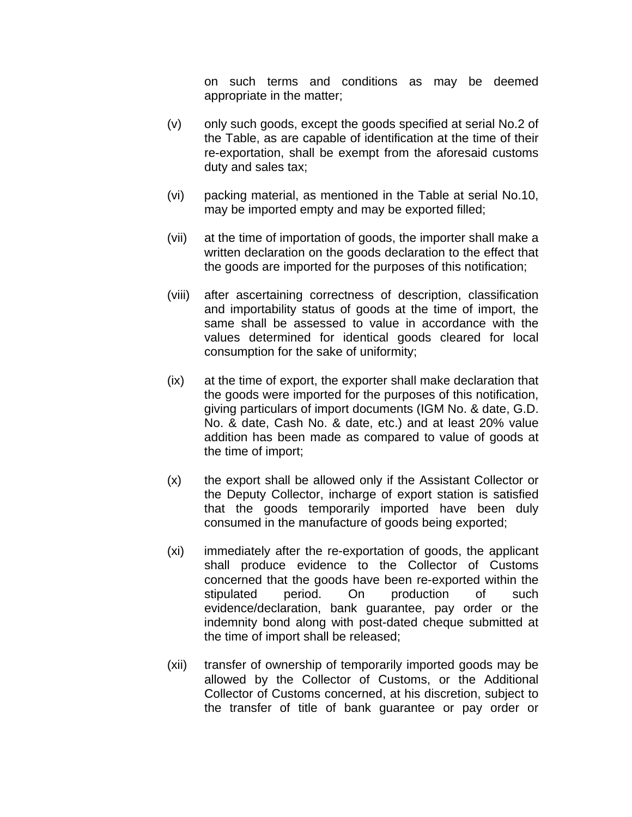on such terms and conditions as may be deemed appropriate in the matter;

- (v) only such goods, except the goods specified at serial No.2 of the Table, as are capable of identification at the time of their re-exportation, shall be exempt from the aforesaid customs duty and sales tax;
- (vi) packing material, as mentioned in the Table at serial No.10, may be imported empty and may be exported filled;
- (vii) at the time of importation of goods, the importer shall make a written declaration on the goods declaration to the effect that the goods are imported for the purposes of this notification;
- (viii) after ascertaining correctness of description, classification and importability status of goods at the time of import, the same shall be assessed to value in accordance with the values determined for identical goods cleared for local consumption for the sake of uniformity;
- (ix) at the time of export, the exporter shall make declaration that the goods were imported for the purposes of this notification, giving particulars of import documents (IGM No. & date, G.D. No. & date, Cash No. & date, etc.) and at least 20% value addition has been made as compared to value of goods at the time of import;
- (x) the export shall be allowed only if the Assistant Collector or the Deputy Collector, incharge of export station is satisfied that the goods temporarily imported have been duly consumed in the manufacture of goods being exported;
- (xi) immediately after the re-exportation of goods, the applicant shall produce evidence to the Collector of Customs concerned that the goods have been re-exported within the stipulated period. On production of such evidence/declaration, bank guarantee, pay order or the indemnity bond along with post-dated cheque submitted at the time of import shall be released;
- (xii) transfer of ownership of temporarily imported goods may be allowed by the Collector of Customs, or the Additional Collector of Customs concerned, at his discretion, subject to the transfer of title of bank guarantee or pay order or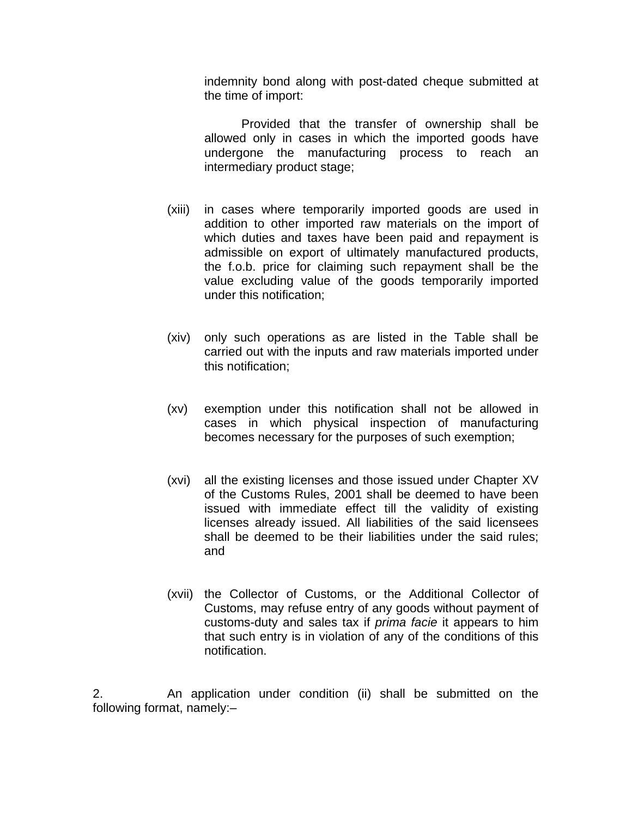indemnity bond along with post-dated cheque submitted at the time of import:

 Provided that the transfer of ownership shall be allowed only in cases in which the imported goods have undergone the manufacturing process to reach an intermediary product stage;

- (xiii) in cases where temporarily imported goods are used in addition to other imported raw materials on the import of which duties and taxes have been paid and repayment is admissible on export of ultimately manufactured products, the f.o.b. price for claiming such repayment shall be the value excluding value of the goods temporarily imported under this notification;
- (xiv) only such operations as are listed in the Table shall be carried out with the inputs and raw materials imported under this notification;
- (xv) exemption under this notification shall not be allowed in cases in which physical inspection of manufacturing becomes necessary for the purposes of such exemption;
- (xvi) all the existing licenses and those issued under Chapter XV of the Customs Rules, 2001 shall be deemed to have been issued with immediate effect till the validity of existing licenses already issued. All liabilities of the said licensees shall be deemed to be their liabilities under the said rules; and
- (xvii) the Collector of Customs, or the Additional Collector of Customs, may refuse entry of any goods without payment of customs-duty and sales tax if *prima facie* it appears to him that such entry is in violation of any of the conditions of this notification.

2. An application under condition (ii) shall be submitted on the following format, namely:–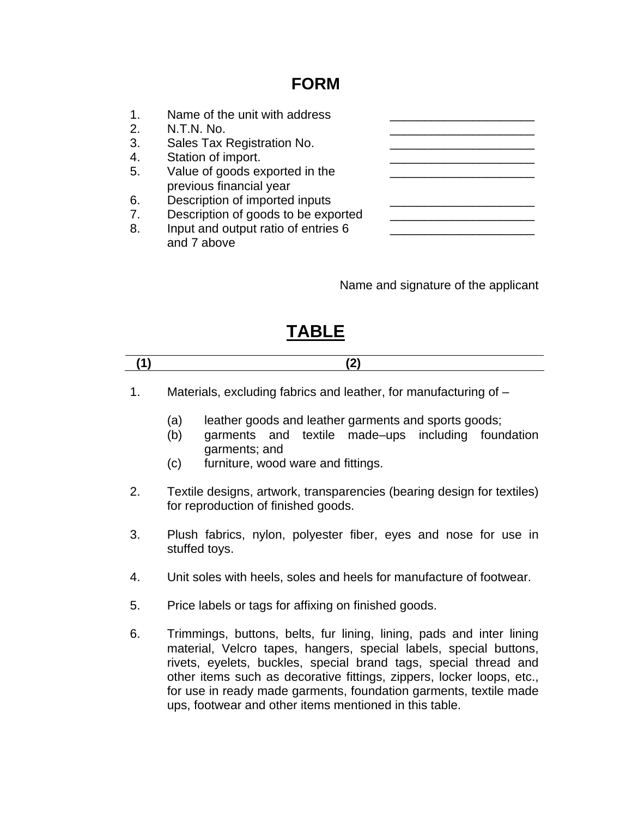## **FORM**

| 1. | Name of the unit with address                             |  |
|----|-----------------------------------------------------------|--|
| 2. | N.T.N. No.                                                |  |
| 3. | Sales Tax Registration No.                                |  |
| 4. | Station of import.                                        |  |
| 5. | Value of goods exported in the<br>previous financial year |  |
| 6. | Description of imported inputs                            |  |
| 7. | Description of goods to be exported                       |  |
| 8. | Input and output ratio of entries 6<br>and 7 above        |  |

Name and signature of the applicant

## **TABLE**

1. Materials, excluding fabrics and leather, for manufacturing of –

- (a) leather goods and leather garments and sports goods;
- (b) garments and textile made–ups including foundation garments; and
- (c) furniture, wood ware and fittings.
- 2. Textile designs, artwork, transparencies (bearing design for textiles) for reproduction of finished goods.
- 3. Plush fabrics, nylon, polyester fiber, eyes and nose for use in stuffed toys.
- 4. Unit soles with heels, soles and heels for manufacture of footwear.
- 5. Price labels or tags for affixing on finished goods.
- 6. Trimmings, buttons, belts, fur lining, lining, pads and inter lining material, Velcro tapes, hangers, special labels, special buttons, rivets, eyelets, buckles, special brand tags, special thread and other items such as decorative fittings, zippers, locker loops, etc., for use in ready made garments, foundation garments, textile made ups, footwear and other items mentioned in this table.